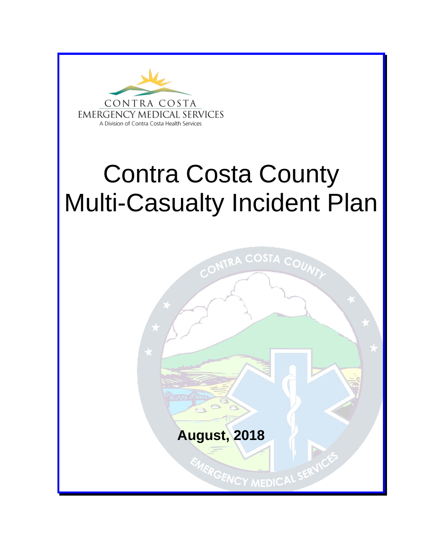

# Contra Costa County Multi-Casualty Incident Plan

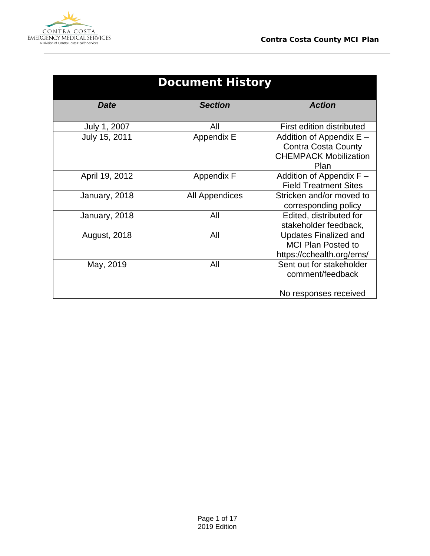

 $\overline{\phantom{a}}$ 

| <b>Document History</b> |                   |                                                                                                  |  |  |  |  |
|-------------------------|-------------------|--------------------------------------------------------------------------------------------------|--|--|--|--|
| <b>Date</b>             | <b>Section</b>    | <b>Action</b>                                                                                    |  |  |  |  |
| July 1, 2007            | All               | First edition distributed                                                                        |  |  |  |  |
| July 15, 2011           | Appendix E        | Addition of Appendix $E -$<br><b>Contra Costa County</b><br><b>CHEMPACK Mobilization</b><br>Plan |  |  |  |  |
| April 19, 2012          | <b>Appendix F</b> | Addition of Appendix $F -$<br><b>Field Treatment Sites</b>                                       |  |  |  |  |
| January, 2018           | All Appendices    | Stricken and/or moved to<br>corresponding policy                                                 |  |  |  |  |
| January, 2018           | All               | Edited, distributed for<br>stakeholder feedback,                                                 |  |  |  |  |
| <b>August, 2018</b>     | All               | <b>Updates Finalized and</b><br><b>MCI Plan Posted to</b><br>https://cchealth.org/ems/           |  |  |  |  |
| May, 2019               | All               | Sent out for stakeholder<br>comment/feedback<br>No responses received                            |  |  |  |  |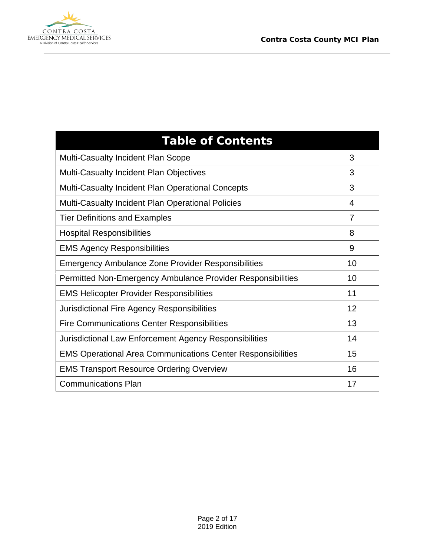

 $\overline{\phantom{a}}$ 

| <b>Table of Contents</b>                                           |                |
|--------------------------------------------------------------------|----------------|
| <b>Multi-Casualty Incident Plan Scope</b>                          | 3              |
| Multi-Casualty Incident Plan Objectives                            | 3              |
| <b>Multi-Casualty Incident Plan Operational Concepts</b>           | 3              |
| <b>Multi-Casualty Incident Plan Operational Policies</b>           | 4              |
| <b>Tier Definitions and Examples</b>                               | $\overline{7}$ |
| <b>Hospital Responsibilities</b>                                   | 8              |
| <b>EMS Agency Responsibilities</b>                                 | 9              |
| <b>Emergency Ambulance Zone Provider Responsibilities</b>          | 10             |
| Permitted Non-Emergency Ambulance Provider Responsibilities        | 10             |
| <b>EMS Helicopter Provider Responsibilities</b>                    | 11             |
| Jurisdictional Fire Agency Responsibilities                        | 12             |
| <b>Fire Communications Center Responsibilities</b>                 | 13             |
| Jurisdictional Law Enforcement Agency Responsibilities             | 14             |
| <b>EMS Operational Area Communications Center Responsibilities</b> | 15             |
| <b>EMS Transport Resource Ordering Overview</b>                    | 16             |
| <b>Communications Plan</b>                                         | 17             |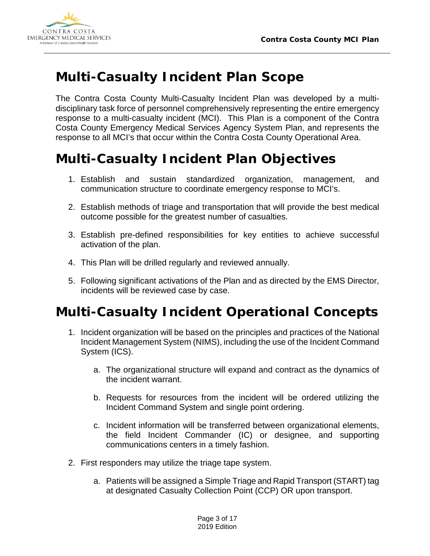

#### **Multi-Casualty Incident Plan Scope**

The Contra Costa County Multi-Casualty Incident Plan was developed by a multidisciplinary task force of personnel comprehensively representing the entire emergency response to a multi-casualty incident (MCI). This Plan is a component of the Contra Costa County Emergency Medical Services Agency System Plan, and represents the response to all MCI's that occur within the Contra Costa County Operational Area.

## **Multi-Casualty Incident Plan Objectives**

- 1. Establish and sustain standardized organization, management, and communication structure to coordinate emergency response to MCI's.
- 2. Establish methods of triage and transportation that will provide the best medical outcome possible for the greatest number of casualties.
- 3. Establish pre-defined responsibilities for key entities to achieve successful activation of the plan.
- 4. This Plan will be drilled regularly and reviewed annually.
- 5. Following significant activations of the Plan and as directed by the EMS Director, incidents will be reviewed case by case.

#### **Multi-Casualty Incident Operational Concepts**

- 1. Incident organization will be based on the principles and practices of the National Incident Management System (NIMS), including the use of the Incident Command System (ICS).
	- a. The organizational structure will expand and contract as the dynamics of the incident warrant.
	- b. Requests for resources from the incident will be ordered utilizing the Incident Command System and single point ordering.
	- c. Incident information will be transferred between organizational elements, the field Incident Commander (IC) or designee, and supporting communications centers in a timely fashion.
- 2. First responders may utilize the triage tape system.
	- a. Patients will be assigned a Simple Triage and Rapid Transport (START) tag at designated Casualty Collection Point (CCP) OR upon transport.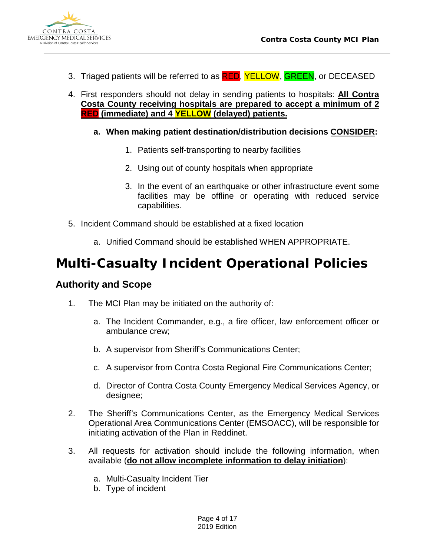

- 3. Triaged patients will be referred to as **RED**, YELLOW, GREEN, or DECEASED
- 4. First responders should not delay in sending patients to hospitals: **All Contra Costa County receiving hospitals are prepared to accept a minimum of 2 RED (immediate) and 4 YELLOW (delayed) patients.**
	- **a. When making patient destination/distribution decisions CONSIDER:**
		- 1. Patients self-transporting to nearby facilities
		- 2. Using out of county hospitals when appropriate
		- 3. In the event of an earthquake or other infrastructure event some facilities may be offline or operating with reduced service capabilities.
- 5. Incident Command should be established at a fixed location
	- a. Unified Command should be established WHEN APPROPRIATE.

#### **Multi-Casualty Incident Operational Policies**

#### **Authority and Scope**

- 1. The MCI Plan may be initiated on the authority of:
	- a. The Incident Commander, e.g., a fire officer, law enforcement officer or ambulance crew;
	- b. A supervisor from Sheriff's Communications Center;
	- c. A supervisor from Contra Costa Regional Fire Communications Center;
	- d. Director of Contra Costa County Emergency Medical Services Agency, or designee;
- 2. The Sheriff's Communications Center, as the Emergency Medical Services Operational Area Communications Center (EMSOACC), will be responsible for initiating activation of the Plan in Reddinet.
- 3. All requests for activation should include the following information, when available (**do not allow incomplete information to delay initiation**):
	- a. Multi-Casualty Incident Tier
	- b. Type of incident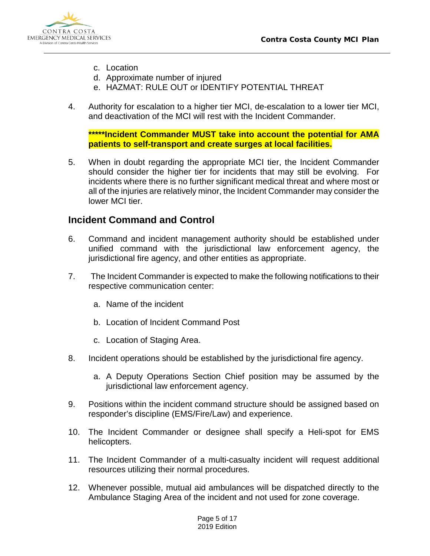

- c. Location
- d. Approximate number of injured
- e. HAZMAT: RULE OUT or IDENTIFY POTENTIAL THREAT
- 4. Authority for escalation to a higher tier MCI, de-escalation to a lower tier MCI, and deactivation of the MCI will rest with the Incident Commander.

**\*\*\*\*\*Incident Commander MUST take into account the potential for AMA patients to self-transport and create surges at local facilities.**

5. When in doubt regarding the appropriate MCI tier, the Incident Commander should consider the higher tier for incidents that may still be evolving. For incidents where there is no further significant medical threat and where most or all of the injuries are relatively minor, the Incident Commander may consider the lower MCI tier.

#### **Incident Command and Control**

- 6. Command and incident management authority should be established under unified command with the jurisdictional law enforcement agency, the jurisdictional fire agency, and other entities as appropriate.
- 7. The Incident Commander is expected to make the following notifications to their respective communication center:
	- a. Name of the incident
	- b. Location of Incident Command Post
	- c. Location of Staging Area.
- 8. Incident operations should be established by the jurisdictional fire agency.
	- a. A Deputy Operations Section Chief position may be assumed by the jurisdictional law enforcement agency.
- 9. Positions within the incident command structure should be assigned based on responder's discipline (EMS/Fire/Law) and experience.
- 10. The Incident Commander or designee shall specify a Heli-spot for EMS helicopters.
- 11. The Incident Commander of a multi-casualty incident will request additional resources utilizing their normal procedures.
- 12. Whenever possible, mutual aid ambulances will be dispatched directly to the Ambulance Staging Area of the incident and not used for zone coverage.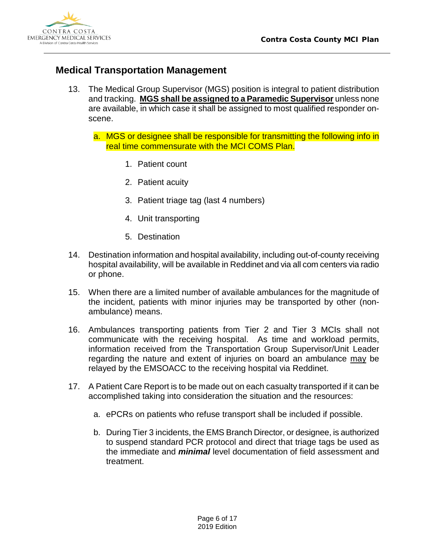

#### **Medical Transportation Management**

- 13. The Medical Group Supervisor (MGS) position is integral to patient distribution and tracking. **MGS shall be assigned to a Paramedic Supervisor** unless none are available, in which case it shall be assigned to most qualified responder onscene.
	- a. MGS or designee shall be responsible for transmitting the following info in real time commensurate with the MCI COMS Plan.
		- 1. Patient count
		- 2. Patient acuity
		- 3. Patient triage tag (last 4 numbers)
		- 4. Unit transporting
		- 5. Destination
- 14. Destination information and hospital availability, including out-of-county receiving hospital availability, will be available in Reddinet and via all com centers via radio or phone.
- 15. When there are a limited number of available ambulances for the magnitude of the incident, patients with minor injuries may be transported by other (nonambulance) means.
- 16. Ambulances transporting patients from Tier 2 and Tier 3 MCIs shall not communicate with the receiving hospital. As time and workload permits, information received from the Transportation Group Supervisor/Unit Leader regarding the nature and extent of injuries on board an ambulance may be relayed by the EMSOACC to the receiving hospital via Reddinet.
- 17. A Patient Care Report is to be made out on each casualty transported if it can be accomplished taking into consideration the situation and the resources:
	- a. ePCRs on patients who refuse transport shall be included if possible.
	- b. During Tier 3 incidents, the EMS Branch Director, or designee, is authorized to suspend standard PCR protocol and direct that triage tags be used as the immediate and *minimal* level documentation of field assessment and treatment.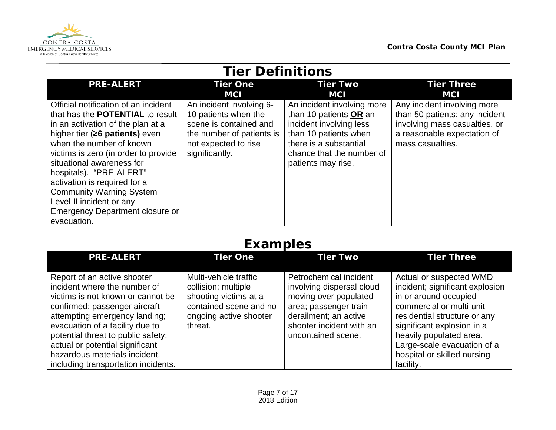

| <b>Tier Definitions</b>                                                                                                                                                                                                                                                                                                                                                                                                       |                                                                                                                                                   |                                                                                                                                                                                       |                                                                                                                                                   |  |  |  |
|-------------------------------------------------------------------------------------------------------------------------------------------------------------------------------------------------------------------------------------------------------------------------------------------------------------------------------------------------------------------------------------------------------------------------------|---------------------------------------------------------------------------------------------------------------------------------------------------|---------------------------------------------------------------------------------------------------------------------------------------------------------------------------------------|---------------------------------------------------------------------------------------------------------------------------------------------------|--|--|--|
| <b>PRE-ALERT</b>                                                                                                                                                                                                                                                                                                                                                                                                              | <b>Tier One</b>                                                                                                                                   | <b>Tier Two</b>                                                                                                                                                                       | <b>Tier Three</b>                                                                                                                                 |  |  |  |
|                                                                                                                                                                                                                                                                                                                                                                                                                               | <b>MCI</b>                                                                                                                                        | <b>MCI</b>                                                                                                                                                                            | <b>MCI</b>                                                                                                                                        |  |  |  |
| Official notification of an incident<br>that has the <b>POTENTIAL</b> to result<br>in an activation of the plan at a<br>higher tier $(≥6$ patients) even<br>when the number of known<br>victims is zero (in order to provide<br>situational awareness for<br>hospitals). "PRE-ALERT"<br>activation is required for a<br><b>Community Warning System</b><br>Level II incident or any<br><b>Emergency Department closure or</b> | An incident involving 6-<br>10 patients when the<br>scene is contained and<br>the number of patients is<br>not expected to rise<br>significantly. | An incident involving more<br>than 10 patients OR an<br>incident involving less<br>than 10 patients when<br>there is a substantial<br>chance that the number of<br>patients may rise. | Any incident involving more<br>than 50 patients; any incident<br>involving mass casualties, or<br>a reasonable expectation of<br>mass casualties. |  |  |  |
| evacuation.                                                                                                                                                                                                                                                                                                                                                                                                                   |                                                                                                                                                   |                                                                                                                                                                                       |                                                                                                                                                   |  |  |  |

#### **Examples**

| <b>PRE-ALERT</b>                                                                                                                                                                                                                                                                                                                                       | <b>Tier One</b>                                                                                                                      | <b>Tier Two</b>                                                                                                                                                                  | <b>Tier Three</b>                                                                                                                                                                                                                                                                   |
|--------------------------------------------------------------------------------------------------------------------------------------------------------------------------------------------------------------------------------------------------------------------------------------------------------------------------------------------------------|--------------------------------------------------------------------------------------------------------------------------------------|----------------------------------------------------------------------------------------------------------------------------------------------------------------------------------|-------------------------------------------------------------------------------------------------------------------------------------------------------------------------------------------------------------------------------------------------------------------------------------|
| Report of an active shooter<br>incident where the number of<br>victims is not known or cannot be<br>confirmed; passenger aircraft<br>attempting emergency landing;<br>evacuation of a facility due to<br>potential threat to public safety;<br>actual or potential significant<br>hazardous materials incident,<br>including transportation incidents. | Multi-vehicle traffic<br>collision; multiple<br>shooting victims at a<br>contained scene and no<br>ongoing active shooter<br>threat. | Petrochemical incident<br>involving dispersal cloud<br>moving over populated<br>area; passenger train<br>derailment; an active<br>shooter incident with an<br>uncontained scene. | Actual or suspected WMD<br>incident; significant explosion<br>in or around occupied<br>commercial or multi-unit<br>residential structure or any<br>significant explosion in a<br>heavily populated area.<br>Large-scale evacuation of a<br>hospital or skilled nursing<br>facility. |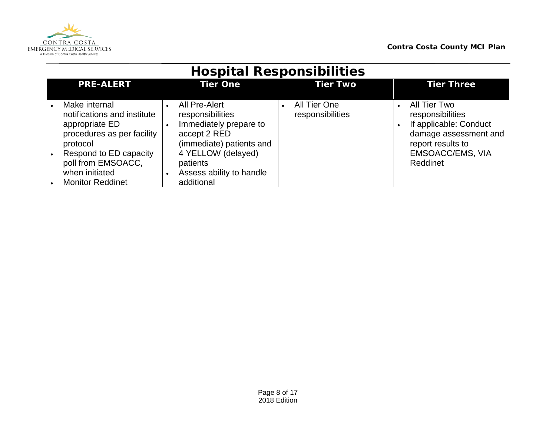

| <b>HOSPITAL RESPONSIBILITIES</b>                                                                         |                                                                                                         |                                  |                                                                                                          |  |  |  |
|----------------------------------------------------------------------------------------------------------|---------------------------------------------------------------------------------------------------------|----------------------------------|----------------------------------------------------------------------------------------------------------|--|--|--|
| <b>PRE-ALERT</b>                                                                                         | <b>Tier One</b>                                                                                         | <b>Tier Two</b>                  | <b>Tier Three</b>                                                                                        |  |  |  |
| Make internal<br>notifications and institute<br>appropriate ED<br>procedures as per facility<br>protocol | All Pre-Alert<br>responsibilities<br>Immediately prepare to<br>accept 2 RED<br>(immediate) patients and | All Tier One<br>responsibilities | All Tier Two<br>responsibilities<br>If applicable: Conduct<br>damage assessment and<br>report results to |  |  |  |
| Respond to ED capacity<br>poll from EMSOACC,<br>when initiated<br><b>Monitor Reddinet</b>                | 4 YELLOW (delayed)<br>patients<br>Assess ability to handle<br>additional                                |                                  | EMSOACC/EMS, VIA<br>Reddinet                                                                             |  |  |  |

#### **Hospital Responsibilities**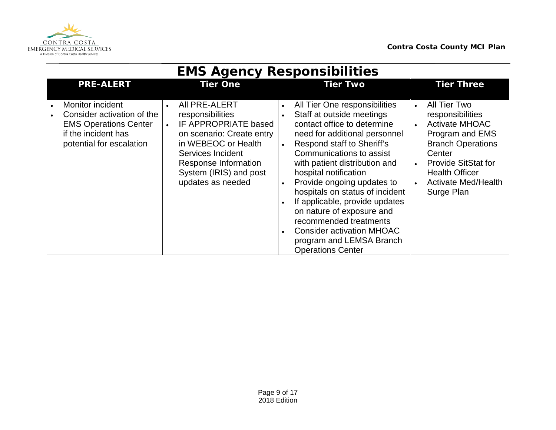

| <b>EIVIS AGENCY RESPONSIBILITIES</b>                                                                                              |                        |                                                                                                                                                                                                           |                                                               |                                                                                                                                                                                                                                                                                                                                                                                                                                                                                                      |           |                                                                                                                                                                                                                       |  |
|-----------------------------------------------------------------------------------------------------------------------------------|------------------------|-----------------------------------------------------------------------------------------------------------------------------------------------------------------------------------------------------------|---------------------------------------------------------------|------------------------------------------------------------------------------------------------------------------------------------------------------------------------------------------------------------------------------------------------------------------------------------------------------------------------------------------------------------------------------------------------------------------------------------------------------------------------------------------------------|-----------|-----------------------------------------------------------------------------------------------------------------------------------------------------------------------------------------------------------------------|--|
| <b>PRE-ALERT</b>                                                                                                                  |                        | <b>Tier One</b>                                                                                                                                                                                           |                                                               | <b>Tier Two</b>                                                                                                                                                                                                                                                                                                                                                                                                                                                                                      |           | <b>Tier Three</b>                                                                                                                                                                                                     |  |
| Monitor incident<br>Consider activation of the<br><b>EMS Operations Center</b><br>if the incident has<br>potential for escalation | $\bullet$<br>$\bullet$ | All PRE-ALERT<br>responsibilities<br>IF APPROPRIATE based<br>on scenario: Create entry<br>in WEBEOC or Health<br>Services Incident<br>Response Information<br>System (IRIS) and post<br>updates as needed | $\bullet$<br>$\bullet$<br>$\bullet$<br>$\bullet$<br>$\bullet$ | All Tier One responsibilities<br>Staff at outside meetings<br>contact office to determine<br>need for additional personnel<br>Respond staff to Sheriff's<br>Communications to assist<br>with patient distribution and<br>hospital notification<br>Provide ongoing updates to<br>hospitals on status of incident<br>If applicable, provide updates<br>on nature of exposure and<br>recommended treatments<br><b>Consider activation MHOAC</b><br>program and LEMSA Branch<br><b>Operations Center</b> | $\bullet$ | All Tier Two<br>responsibilities<br><b>Activate MHOAC</b><br>Program and EMS<br><b>Branch Operations</b><br>Center<br><b>Provide SitStat for</b><br><b>Health Officer</b><br><b>Activate Med/Health</b><br>Surge Plan |  |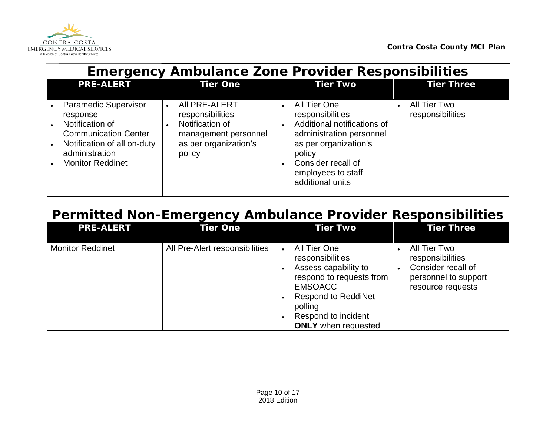

| <b>Emergency Ambulance Zone Provider Responsibilities</b>                                                                                                             |                                                                                                                                           |                                                                                                                                                                                                             |                                  |  |  |
|-----------------------------------------------------------------------------------------------------------------------------------------------------------------------|-------------------------------------------------------------------------------------------------------------------------------------------|-------------------------------------------------------------------------------------------------------------------------------------------------------------------------------------------------------------|----------------------------------|--|--|
| <b>PRE-ALERT</b>                                                                                                                                                      | <b>Tier One</b>                                                                                                                           | <b>Tier Two</b>                                                                                                                                                                                             | <b>Tier Three</b>                |  |  |
| <b>Paramedic Supervisor</b><br>response<br>Notification of<br><b>Communication Center</b><br>Notification of all on-duty<br>administration<br><b>Monitor Reddinet</b> | AII PRE-ALERT<br>$\bullet$<br>responsibilities<br>Notification of<br>$\bullet$<br>management personnel<br>as per organization's<br>policy | All Tier One<br>$\bullet$<br>responsibilities<br>Additional notifications of<br>administration personnel<br>as per organization's<br>policy<br>Consider recall of<br>employees to staff<br>additional units | All Tier Two<br>responsibilities |  |  |

## **Permitted Non-Emergency Ambulance Provider Responsibilities**

| <b>PRE-ALERT</b>        | <b>Tier One</b>                | <b>Tier Two</b>                                                                                                                                                                                                   | <b>Tier Three</b>                                                                                   |
|-------------------------|--------------------------------|-------------------------------------------------------------------------------------------------------------------------------------------------------------------------------------------------------------------|-----------------------------------------------------------------------------------------------------|
| <b>Monitor Reddinet</b> | All Pre-Alert responsibilities | All Tier One<br>$\bullet$<br>responsibilities<br>Assess capability to<br>respond to requests from<br><b>EMSOACC</b><br><b>Respond to ReddiNet</b><br>polling<br>Respond to incident<br><b>ONLY</b> when requested | All Tier Two<br>responsibilities<br>Consider recall of<br>personnel to support<br>resource requests |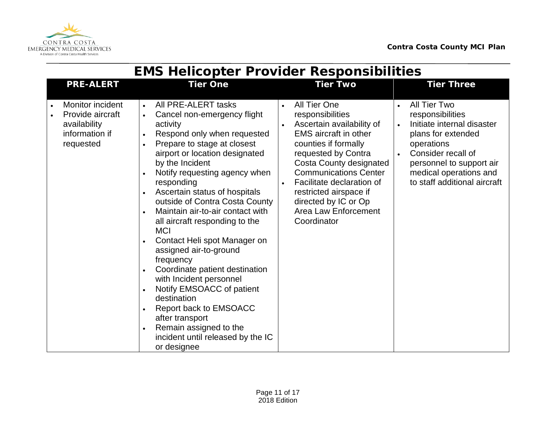

|                                                                                     | <b>EIVIS HeIICOPTER PROVIDER RESPONSIDIIITIES</b>                                                                                                                                                                                                                                                                                                                                                                                                                                                                                                                                                                                                                                                               |                                                                                                                                                                                                                                                                                                                                                         |                                                                                                                                                                                                                                                       |
|-------------------------------------------------------------------------------------|-----------------------------------------------------------------------------------------------------------------------------------------------------------------------------------------------------------------------------------------------------------------------------------------------------------------------------------------------------------------------------------------------------------------------------------------------------------------------------------------------------------------------------------------------------------------------------------------------------------------------------------------------------------------------------------------------------------------|---------------------------------------------------------------------------------------------------------------------------------------------------------------------------------------------------------------------------------------------------------------------------------------------------------------------------------------------------------|-------------------------------------------------------------------------------------------------------------------------------------------------------------------------------------------------------------------------------------------------------|
| <b>PRE-ALERT</b>                                                                    | <b>Tier One</b>                                                                                                                                                                                                                                                                                                                                                                                                                                                                                                                                                                                                                                                                                                 | <b>Tier Two</b>                                                                                                                                                                                                                                                                                                                                         | <b>Tier Three</b>                                                                                                                                                                                                                                     |
| Monitor incident<br>Provide aircraft<br>availability<br>information if<br>requested | All PRE-ALERT tasks<br>$\bullet$<br>Cancel non-emergency flight<br>activity<br>Respond only when requested<br>Prepare to stage at closest<br>airport or location designated<br>by the Incident<br>Notify requesting agency when<br>responding<br>Ascertain status of hospitals<br>outside of Contra Costa County<br>Maintain air-to-air contact with<br>all aircraft responding to the<br><b>MCI</b><br>Contact Heli spot Manager on<br>assigned air-to-ground<br>frequency<br>Coordinate patient destination<br>with Incident personnel<br>Notify EMSOACC of patient<br>destination<br>Report back to EMSOACC<br>after transport<br>Remain assigned to the<br>incident until released by the IC<br>or designee | All Tier One<br>$\bullet$<br>responsibilities<br>Ascertain availability of<br><b>EMS</b> aircraft in other<br>counties if formally<br>requested by Contra<br>Costa County designated<br><b>Communications Center</b><br>Facilitate declaration of<br>$\bullet$<br>restricted airspace if<br>directed by IC or Op<br>Area Law Enforcement<br>Coordinator | All Tier Two<br>$\bullet$<br>responsibilities<br>Initiate internal disaster<br>$\bullet$<br>plans for extended<br>operations<br>Consider recall of<br>$\bullet$<br>personnel to support air<br>medical operations and<br>to staff additional aircraft |

## **EMS Helicopter Provider Responsibilities**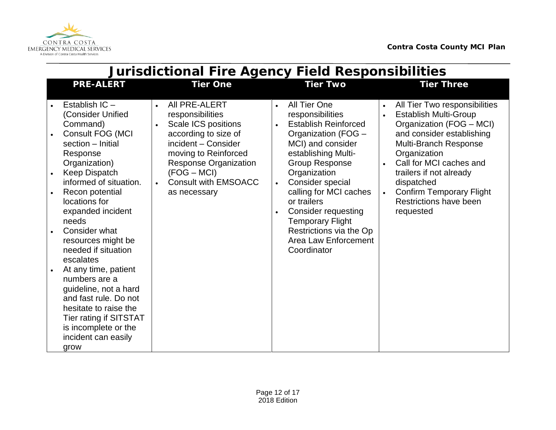

| <b>Jurisdictional Fire Agency Field Responsibilities</b>                                                                                                                                                                                                                                                                                                                                                                                                                                                                  |                                                                                                                                                                                                                                                                        |                                                                                                                                                                                                                                                                                                                                                                                               |                                                                                                                                                                                                                                                                                                                                                                   |  |  |  |  |
|---------------------------------------------------------------------------------------------------------------------------------------------------------------------------------------------------------------------------------------------------------------------------------------------------------------------------------------------------------------------------------------------------------------------------------------------------------------------------------------------------------------------------|------------------------------------------------------------------------------------------------------------------------------------------------------------------------------------------------------------------------------------------------------------------------|-----------------------------------------------------------------------------------------------------------------------------------------------------------------------------------------------------------------------------------------------------------------------------------------------------------------------------------------------------------------------------------------------|-------------------------------------------------------------------------------------------------------------------------------------------------------------------------------------------------------------------------------------------------------------------------------------------------------------------------------------------------------------------|--|--|--|--|
| <b>PRE-ALERT</b>                                                                                                                                                                                                                                                                                                                                                                                                                                                                                                          | <b>Tier One</b>                                                                                                                                                                                                                                                        | <b>Tier Two</b>                                                                                                                                                                                                                                                                                                                                                                               | <b>Tier Three</b>                                                                                                                                                                                                                                                                                                                                                 |  |  |  |  |
| Establish IC -<br>(Consider Unified<br>Command)<br>Consult FOG (MCI<br>section - Initial<br>Response<br>Organization)<br>Keep Dispatch<br>informed of situation.<br>Recon potential<br>locations for<br>expanded incident<br>needs<br>Consider what<br>resources might be<br>needed if situation<br>escalates<br>At any time, patient<br>numbers are a<br>guideline, not a hard<br>and fast rule. Do not<br>hesitate to raise the<br><b>Tier rating if SITSTAT</b><br>is incomplete or the<br>incident can easily<br>grow | All PRE-ALERT<br>$\bullet$<br>responsibilities<br>Scale ICS positions<br>$\bullet$<br>according to size of<br>incident - Consider<br>moving to Reinforced<br><b>Response Organization</b><br>$(FOG - MCI)$<br><b>Consult with EMSOACC</b><br>$\bullet$<br>as necessary | All Tier One<br>$\bullet$<br>responsibilities<br><b>Establish Reinforced</b><br>Organization (FOG -<br>MCI) and consider<br>establishing Multi-<br><b>Group Response</b><br>Organization<br>Consider special<br>$\bullet$<br>calling for MCI caches<br>or trailers<br><b>Consider requesting</b><br><b>Temporary Flight</b><br>Restrictions via the Op<br>Area Law Enforcement<br>Coordinator | All Tier Two responsibilities<br>$\bullet$<br><b>Establish Multi-Group</b><br>$\bullet$<br>Organization (FOG - MCI)<br>and consider establishing<br>Multi-Branch Response<br>Organization<br>Call for MCI caches and<br>$\bullet$<br>trailers if not already<br>dispatched<br><b>Confirm Temporary Flight</b><br>$\bullet$<br>Restrictions have been<br>requested |  |  |  |  |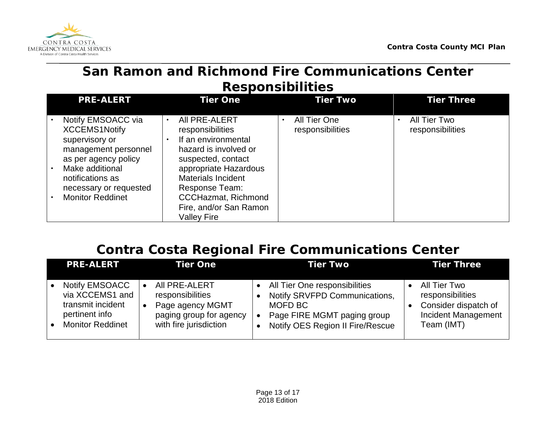

#### **San Ramon and Richmond Fire Communications Center Responsibilities**

| <b>PRE-ALERT</b>                                                                                                                                                                                         | <b>Tier One</b>                                                                                                                                                                                                                                                            | <b>Tier Two</b>                               | <b>Tier Three</b>                |  |  |  |  |  |
|----------------------------------------------------------------------------------------------------------------------------------------------------------------------------------------------------------|----------------------------------------------------------------------------------------------------------------------------------------------------------------------------------------------------------------------------------------------------------------------------|-----------------------------------------------|----------------------------------|--|--|--|--|--|
| Notify EMSOACC via<br><b>XCCEMS1Notify</b><br>supervisory or<br>management personnel<br>as per agency policy<br>Make additional<br>notifications as<br>necessary or requested<br><b>Monitor Reddinet</b> | AII PRE-ALERT<br>$\bullet$<br>responsibilities<br>If an environmental<br>hazard is involved or<br>suspected, contact<br>appropriate Hazardous<br><b>Materials Incident</b><br>Response Team:<br><b>CCCHazmat, Richmond</b><br>Fire, and/or San Ramon<br><b>Valley Fire</b> | All Tier One<br>$\bullet$<br>responsibilities | All Tier Two<br>responsibilities |  |  |  |  |  |

## **Contra Costa Regional Fire Communications Center**

| <b>PRE-ALERT</b>                                                                                    | <b>Tier One</b>                                                                                            | Tier Two                                                                                                                                     | <b>Tier Three</b>                                                                                    |
|-----------------------------------------------------------------------------------------------------|------------------------------------------------------------------------------------------------------------|----------------------------------------------------------------------------------------------------------------------------------------------|------------------------------------------------------------------------------------------------------|
| Notify EMSOACC<br>via XCCEMS1 and<br>transmit incident<br>pertinent info<br><b>Monitor Reddinet</b> | AII PRE-ALERT<br>responsibilities<br>Page agency MGMT<br>paging group for agency<br>with fire jurisdiction | All Tier One responsibilities<br>Notify SRVFPD Communications,<br>MOFD BC<br>Page FIRE MGMT paging group<br>Notify OES Region II Fire/Rescue | All Tier Two<br>responsibilities<br>Consider dispatch of<br><b>Incident Management</b><br>Team (IMT) |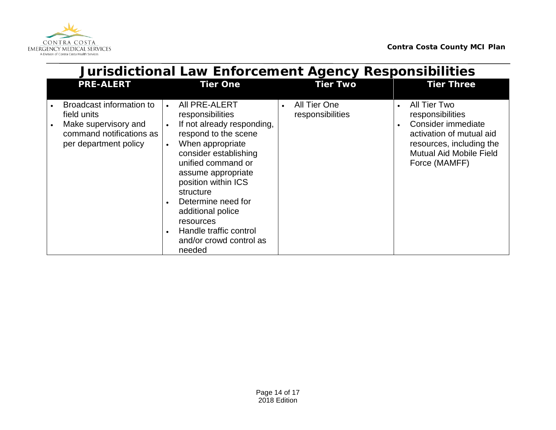

|           | <b>Jurisdictional Law Enforcement Agency Responsibilities</b>                                                        |                                                                                                                                                                                                                                                                                                                                                                       |                                  |                                                                                                                                                                                |  |
|-----------|----------------------------------------------------------------------------------------------------------------------|-----------------------------------------------------------------------------------------------------------------------------------------------------------------------------------------------------------------------------------------------------------------------------------------------------------------------------------------------------------------------|----------------------------------|--------------------------------------------------------------------------------------------------------------------------------------------------------------------------------|--|
|           | <b>PRE-ALERT</b>                                                                                                     | <b>Tier One</b>                                                                                                                                                                                                                                                                                                                                                       | <b>Tier Two</b>                  | <b>Tier Three</b>                                                                                                                                                              |  |
| $\bullet$ | Broadcast information to<br>field units<br>Make supervisory and<br>command notifications as<br>per department policy | All PRE-ALERT<br>$\bullet$<br>responsibilities<br>If not already responding,<br>respond to the scene<br>When appropriate<br>$\bullet$<br>consider establishing<br>unified command or<br>assume appropriate<br>position within ICS<br>structure<br>Determine need for<br>additional police<br>resources<br>Handle traffic control<br>and/or crowd control as<br>needed | All Tier One<br>responsibilities | All Tier Two<br>$\bullet$<br>responsibilities<br>Consider immediate<br>activation of mutual aid<br>resources, including the<br><b>Mutual Aid Mobile Field</b><br>Force (MAMFF) |  |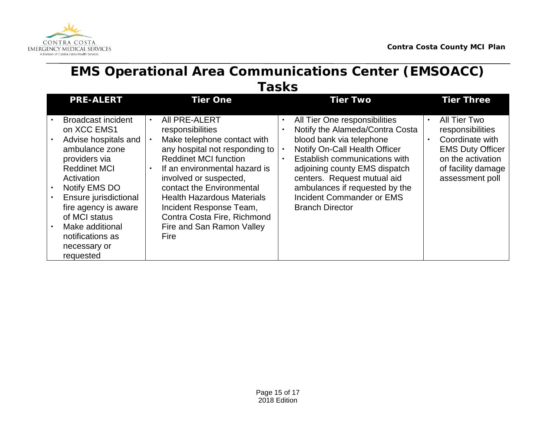

#### **EMS Operational Area Communications Center (EMSOACC) Tasks**

| <b>PRE-ALERT</b>                                                                                                                                                                                                                                                                                | <b>Tier One</b>                                                                                                                                                                                                                                                                                                                                                | <b>Tier Two</b>                                                                                                                                                                                                                                                                                                                      | <b>Tier Three</b>                                                                                                                            |  |  |  |  |
|-------------------------------------------------------------------------------------------------------------------------------------------------------------------------------------------------------------------------------------------------------------------------------------------------|----------------------------------------------------------------------------------------------------------------------------------------------------------------------------------------------------------------------------------------------------------------------------------------------------------------------------------------------------------------|--------------------------------------------------------------------------------------------------------------------------------------------------------------------------------------------------------------------------------------------------------------------------------------------------------------------------------------|----------------------------------------------------------------------------------------------------------------------------------------------|--|--|--|--|
| <b>Broadcast incident</b><br>on XCC EMS1<br>Advise hospitals and<br>ambulance zone<br>providers via<br><b>Reddinet MCI</b><br>Activation<br>Notify EMS DO<br>Ensure jurisdictional<br>fire agency is aware<br>of MCI status<br>Make additional<br>notifications as<br>necessary or<br>requested | AII PRE-ALERT<br>responsibilities<br>Make telephone contact with<br>any hospital not responding to<br><b>Reddinet MCI function</b><br>If an environmental hazard is<br>involved or suspected,<br>contact the Environmental<br><b>Health Hazardous Materials</b><br>Incident Response Team,<br>Contra Costa Fire, Richmond<br>Fire and San Ramon Valley<br>Fire | All Tier One responsibilities<br>Notify the Alameda/Contra Costa<br>blood bank via telephone<br>Notify On-Call Health Officer<br>Establish communications with<br>$\bullet$<br>adjoining county EMS dispatch<br>centers. Request mutual aid<br>ambulances if requested by the<br>Incident Commander or EMS<br><b>Branch Director</b> | All Tier Two<br>responsibilities<br>Coordinate with<br><b>EMS Duty Officer</b><br>on the activation<br>of facility damage<br>assessment poll |  |  |  |  |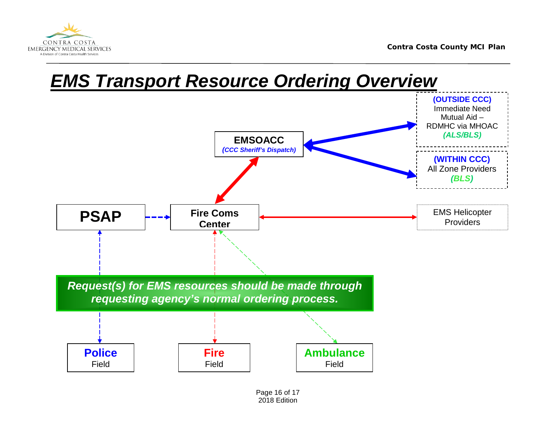



Page 16 of 17 2018 Edition